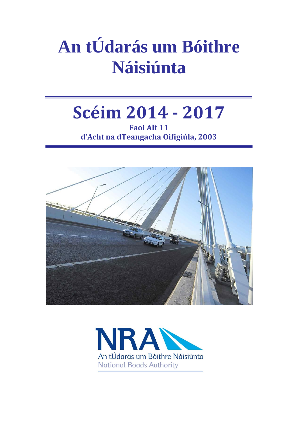# **An tÚdarás um Bóithre Náisiúnta**

# **Scéim 2014 - 2017**

**Faoi Alt 11 d'Acht na dTeangacha Oifigiúla, 2003**



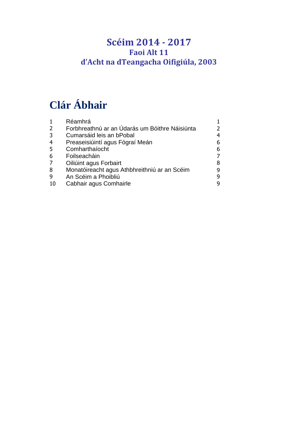# **Scéim 2014 - 2017 Faoi Alt 11 d'Acht na dTeangacha Oifigiúla, 2003**

# **Clár Ábhair**

|                | Réamhrá                                        |               |
|----------------|------------------------------------------------|---------------|
| $\overline{2}$ | Forbhreathnú ar an Údarás um Bóithre Náisiúnta | $\mathcal{P}$ |
| 3              | Cumarsáid leis an bPobal                       | 4             |
| $\overline{4}$ | Preaseisiúintí agus Fógraí Meán                | 6             |
| 5              | Comharthaíocht                                 | 6             |
| 6              | Foilseacháin                                   |               |
| $\overline{7}$ | Oiliúint agus Forbairt                         | 8             |
| 8              | Monatóireacht agus Athbhreithniú ar an Scéim   | q             |
| 9              | An Scéim a Phoibliú                            | 9             |
| 10             | Cabhair agus Comhairle                         | q             |
|                |                                                |               |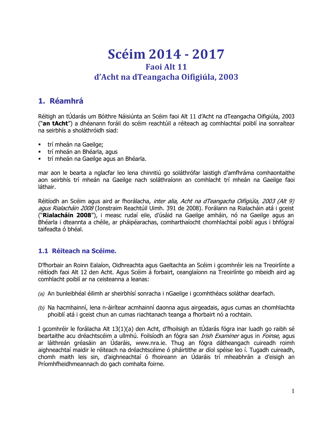# **Scéim 2014 - 2017 Faoi Alt 11 d'Acht na dTeangacha Oifigiúla, 2003**

# **1. Réamhrá**

Réitigh an tÚdarás um Bóithre Náisiúnta an Scéim faoi Alt 11 d'Acht na dTeangacha Oifigiúla, 2003 ("**an tAcht**") a dhéanann foráil do scéim reachtúil a réiteach ag comhlachtaí poiblí ina sonraítear na seirbhís a sholáthróidh siad:

- trí mheán na Gaeilge;
- trí mheán an Bhéarla, agus
- trí mheán na Gaeilge agus an Bhéarla.

mar aon le bearta a nglacfar leo lena chinntiú go soláthrófar laistigh d'amfhráma comhaontaithe aon seirbhís trí mheán na Gaeilge nach soláthraíonn an comhlacht trí mheán na Gaeilge faoi láthair.

Réitíodh an Scéim agus aird ar fhorálacha, inter alia, Acht na dTeangacha Oifigiúla, 2003 (Alt 9) agus Rialacháin 2008 (Ionstraim Reachtúil Uimh. 391 de 2008). Forálann na Rialacháin atá i gceist ("**Rialacháin 2008**"), i measc rudaí eile, d'úsáid na Gaeilge amháin, nó na Gaeilge agus an Bhéarla i dteannta a chéile, ar pháipéarachas, comharthaíocht chomhlachtaí poiblí agus i bhfógraí taifeadta ó bhéal.

#### **1.1 Réiteach na Scéime.**

D'fhorbair an Roinn Ealaíon, Oidhreachta agus Gaeltachta an Scéim i gcomhréir leis na Treoirlínte a réitíodh faoi Alt 12 den Acht. Agus Scéim á forbairt, ceanglaíonn na Treoirlínte go mbeidh aird ag comhlacht poiblí ar na ceisteanna a leanas:

- *(a)* An bunleibhéal éilimh ar sheirbhísí sonracha i nGaeilge i gcomhthéacs soláthar dearfach.
- *(b)* Na hacmhainní, lena n-áirítear acmhainní daonna agus airgeadais, agus cumas an chomhlachta phoiblí atá i gceist chun an cumas riachtanach teanga a fhorbairt nó a rochtain.

I gcomhréir le forálacha Alt 13(1)(a) den Acht, d'fhoilsigh an tÚdarás fógra inar luadh go raibh sé beartaithe acu dréachtscéim a ullmhú. Foilsíodh an fógra san *Irish Examiner* agus in *Foinse*, agus ar láithreán gréasáin an Údaráis, www.nra.ie. Thug an fógra dátheangach cuireadh roimh aighneachtaí maidir le réiteach na dréachtscéime ó pháirtithe ar díol spéise leo í. Tugadh cuireadh, chomh maith leis sin, d'aighneachtaí ó fhoireann an Údaráis trí mheabhrán a d'eisigh an Príomhfheidhmeannach do gach comhalta foirne.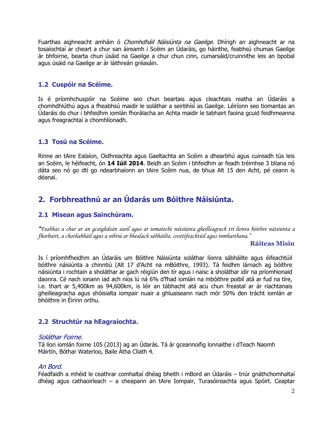Fuarthas aighneacht amháin ó *Chomhdháil Náisiúnta na Gaeilge*. Dhírigh an aighneacht ar na tosaíochtaí ar cheart a chur san áireamh i Scéim an Údaráis, go háirithe, feabhsú chumas Gaeilge ár bhfoirne, bearta chun úsáid na Gaeilge a chur chun cinn, cumarsáid/cruinnithe leis an bpobal agus úsáid na Gaeilge ar ár láithreán gréasáin.

#### **1.2 Cuspóir na Scéime.**

Is é príomhchuspóir na Scéime seo chun beartais agus cleachtais reatha an Údaráis a chomhdhlúthú agus a fheabhsú maidir le soláthar a seirbhísí as Gaeilge. Léiríonn seo tiomantas an Údaráis do chur i bhfeidhm iomlán fhorálacha an Achta maidir le tabhairt faoina gcuid feidhmeanna agus freagrachtaí a chomhlíonadh.

#### **1.3 Tosú na Scéime.**

Rinne an tAire Ealaíon, Oidhreachta agus Gaeltachta an Scéim a dhearbhú agus cuireadh tús leis an Scéim, le héifeacht, ón **14 Iúil 2014**. Beidh an Scéim i bhfeidhm ar feadh tréimhse 3 bliana nó dáta seo nó go dtí go ndearbhaíonn an tAire Scéim nua, de bhua Alt 15 den Acht, pé ceann is déanaí.

# **2. Forbhreathnú ar an Údarás um Bóithre Náisiúnta.**

#### **2.1 Misean agus Sainchúram.**

*"Feabhas a chur ar an gcaighdeán saoil agus ar iomaíocht náisiúnta gheilleagrach trí líonra bóithre náisiúnta a fhorbairt, a chothabháil agus a oibriú ar bhealach sábháilte, costéifeachtúil agus inmharthana."*

#### **Ráiteas Misin**

Is í príomhfheidhm an Údaráis um Bóithre Náisiúnta soláthar líonra sábháilte agus éifeachtúil bóithre náisiúnta a chinntiú (Alt 17 d'Acht na mBóithre, 1993). Tá feidhm lárnach ag bóithre náisiúnta i rochtain a sholáthar ar gach réigiún den tír agus i naisc a sholáthar idir na príomhionaid daonra. Cé nach ionann iad ach níos lú ná 6% d'fhad iomlán na mbóithre poiblí atá ar fud na tíre, i.e. thart ar 5,400km as 94,600km, is léir an tábhacht atá acu chun freastal ar ár riachtanais gheilleagracha agus shóisialta iompair nuair a ghluaiseann nach mór 50% den trácht iomlán ar bhóithre in Éirinn orthu.

#### **2.2 Struchtúr na hEagraíochta.**

#### Soláthar Foirne.

Tá líon iomlán foirne 105 (2013) ag an Údarás. Tá ár gceannoifig lonnaithe i dTeach Naomh Máirtín, Bóthar Waterloo, Baile Átha Cliath 4.

#### An Bord.

Féadfaidh a mhéid le ceathrar comhaltaí dhéag bheith i mBord an Údaráis – triúr gnáthchomhaltaí dhéag agus cathaoirleach – a cheapann an tAire Iompair, Turasóireachta agus Spóirt. Ceaptar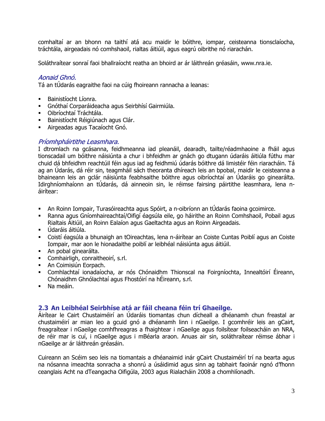comhaltaí ar an bhonn na taithí atá acu maidir le bóithre, iompar, ceisteanna tionsclaíocha, tráchtála, airgeadais nó comhshaoil, rialtas áitiúil, agus eagrú oibrithe nó riarachán.

Soláthraítear sonraí faoi bhallraíocht reatha an bhoird ar ár láithreán gréasáin, www.nra.ie.

#### Aonaid Ghnó.

Tá an tÚdarás eagraithe faoi na cúig fhoireann rannacha a leanas:

- Bainistíocht Líonra.
- Gnóthaí Corparáideacha agus Seirbhísí Gairmiúla.
- Oibríochtaí Tráchtála.
- Bainistíocht Réigiúnach agus Clár.
- Airgeadas agus Tacaíocht Gnó.

#### Príomhpháirtithe Leasmhara.

I dtromlach na gcásanna, feidhmeanna iad pleanáil, dearadh, tailte/réadmhaoine a fháil agus tionscadail um bóithre náisiúnta a chur i bhfeidhm ar gnách go dtugann údaráis áitiúla fúthu mar chuid dá bhfeidhm reachtúil féin agus iad ag feidhmiú údarás bóithre dá limistéir féin riaracháin. Tá ag an Údarás, dá réir sin, teagmháil sách theoranta dhíreach leis an bpobal, maidir le ceisteanna a bhaineann leis an gclár náisiúnta feabhsaithe bóithre agus oibríochtaí an Údaráis go ginearálta. Idirghníomhaíonn an tÚdarás, dá ainneoin sin, le réimse fairsing páirtithe leasmhara, lena náirítear:

- An Roinn Iompair, Turasóireachta agus Spóirt, a n-oibríonn an tÚdarás faoina gcoimirce.
- Ranna agus Gníomhaireachtaí/Oifigí éagsúla eile, go háirithe an Roinn Comhshaoil, Pobail agus Rialtais Áitiúil, an Roinn Ealaíon agus Gaeltachta agus an Roinn Airgeadais.
- Údaráis áitiúla.
- Coistí éagsúla a bhunaigh an tOireachtas, lena n-áirítear an Coiste Cuntas Poiblí agus an Coiste Iompair, mar aon le hionadaithe poiblí ar leibhéal náisiúnta agus áitiúil.
- An pobal ginearálta.
- Comhairligh, conraitheoirí, s.rl.
- **An Coimisiún Eorpach.**
- Comhlachtaí ionadaíocha, ar nós Chónaidhm Thionscal na Foirgníochta, Innealtóirí Éireann, Chónaidhm Ghnólachtaí agus Fhostóirí na hÉireann, s.rl.
- Na meáin.

#### **2.3 An Leibhéal Seirbhíse atá ar fáil cheana féin trí Ghaeilge.**

Áirítear le Cairt Chustaiméirí an Údaráis tiomantas chun dícheall a dhéanamh chun freastal ar chustaiméirí ar mian leo a gcuid gnó a dhéanamh linn i nGaeilge. I gcomhréir leis an gCairt, freagraítear i nGaeilge comhfhreagras a fhaightear i nGaeilge agus foilsítear foilseacháin an NRA, de réir mar is cuí, i nGaeilge agus i mBéarla araon. Anuas air sin, soláthraítear réimse ábhar i nGaeilge ar ár láithreán gréasáin.

Cuireann an Scéim seo leis na tiomantais a dhéanaimid inár gCairt Chustaiméirí trí na bearta agus na nósanna imeachta sonracha a shonrú a úsáidimid agus sinn ag tabhairt faoinár ngnó d'fhonn ceanglais Acht na dTeangacha Oifigúla, 2003 agus Rialacháin 2008 a chomhlíonadh.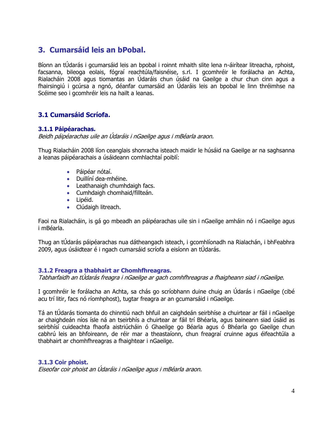# **3. Cumarsáid leis an bPobal.**

Bíonn an tÚdarás i gcumarsáid leis an bpobal i roinnt mhaith slite lena n-áirítear litreacha, rphoist, facsanna, bileoga eolais, fógraí reachtúla/faisnéise, s.rl. I gcomhréir le forálacha an Achta, Rialacháin 2008 agus tiomantas an Údaráis chun úsáid na Gaeilge a chur chun cinn agus a fhairsingiú i gcúrsa a ngnó, déanfar cumarsáid an Údaráis leis an bpobal le linn thréimhse na Scéime seo i gcomhréir leis na hailt a leanas.

#### **3.1 Cumarsáid Scríofa.**

#### **3.1.1 Páipéarachas.**

Beidh páipéarachas uile an Údaráis i nGaeilge agus i mBéarla araon.

Thug Rialacháin 2008 líon ceanglais shonracha isteach maidir le húsáid na Gaeilge ar na saghsanna a leanas páipéarachais a úsáideann comhlachtaí poiblí:

- Páipéar nótaí.
- Duillíní dea-mhéine.
- Leathanaigh chumhdaigh facs.
- Cumhdaigh chomhaid/fillteán.
- Lipéid.
- Clúdaigh litreach.

Faoi na Rialacháin, is gá go mbeadh an páipéarachas uile sin i nGaeilge amháin nó i nGaeilge agus i mBéarla.

Thug an tÚdarás páipéarachas nua dátheangach isteach, i gcomhlíonadh na Rialachán, i bhFeabhra 2009, agus úsáidtear é i ngach cumarsáid scríofa a eisíonn an tÚdarás.

#### **3.1.2 Freagra a thabhairt ar Chomhfhreagras.**

Tabharfaidh an tÚdarás freagra i nGaeilge ar gach comhfhreagras a fhaigheann siad i nGaeilge.

I gcomhréir le forálacha an Achta, sa chás go scríobhann duine chuig an Údarás i nGaeilge (cibé acu trí litir, facs nó ríomhphost), tugtar freagra ar an gcumarsáid i nGaeilge.

Tá an tÚdarás tiomanta do chinntiú nach bhfuil an caighdeán seirbhíse a chuirtear ar fáil i nGaeilge ar chaighdeán níos ísle ná an tseirbhís a chuirtear ar fáil trí Bhéarla, agus baineann siad úsáid as seirbhísí cuideachta fhaofa aistriúcháin ó Ghaeilge go Béarla agus ó Bhéarla go Gaeilge chun cabhrú leis an bhfoireann, de réir mar a theastaíonn, chun freagraí cruinne agus éifeachtúla a thabhairt ar chomhfhreagras a fhaightear i nGaeilge.

#### **3.1.3 Coir phoist.**

Eiseofar coir phoist an Údaráis i nGaeilge agus i mBéarla araon.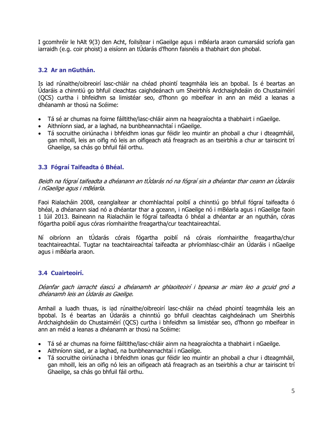I gcomhréir le hAlt 9(3) den Acht, foilsítear i nGaeilge agus i mBéarla araon cumarsáid scríofa gan iarraidh (e.g. coir phoist) a eisíonn an tÚdarás d'fhonn faisnéis a thabhairt don phobal.

#### **3.2 Ar an nGuthán.**

Is iad rúnaithe/oibreoirí lasc-chláir na chéad phointí teagmhála leis an bpobal. Is é beartas an Údaráis a chinntiú go bhfuil cleachtas caighdeánach um Sheirbhís Ardchaighdeáin do Chustaiméirí (QCS) curtha i bhfeidhm sa limistéar seo, d'fhonn go mbeifear in ann an méid a leanas a dhéanamh ar thosú na Scéime:

- Tá sé ar chumas na foirne fáiltithe/lasc-chláir ainm na heagraíochta a thabhairt i nGaeilge.
- Aithníonn siad, ar a laghad, na bunbheannachtaí i nGaeilge.
- Tá socruithe oiriúnacha i bhfeidhm ionas gur féidir leo muintir an phobail a chur i dteagmháil, gan mhoill, leis an oifig nó leis an oifigeach atá freagrach as an tseirbhís a chur ar tairiscint trí Ghaeilge, sa chás go bhfuil fáil orthu.

#### **3.3 Fógraí Taifeadta ó Bhéal.**

Beidh na fógraí taifeadta a dhéanann an tÚdarás nó na fógraí sin a dhéantar thar ceann an Údaráis i nGaeilge agus i mBéarla.

Faoi Rialacháin 2008, ceanglaítear ar chomhlachtaí poiblí a chinntiú go bhfuil fógraí taifeadta ó bhéal, a dhéanann siad nó a dhéantar thar a gceann, i nGaeilge nó i mBéarla agus i nGaeilge faoin 1 Iúil 2013. Baineann na Rialacháin le fógraí taifeadta ó bhéal a dhéantar ar an nguthán, córas fógartha poiblí agus córas ríomhairithe freagartha/cur teachtaireachtaí.

Ní oibríonn an tÚdarás córais fógartha poiblí ná córais ríomhairithe freagartha/chur teachtaireachtaí. Tugtar na teachtaireachtaí taifeadta ar phríomhlasc-clháir an Údaráis i nGaeilge agus i mBéarla araon.

#### **3.4 Cuairteoirí.**

Déanfar gach iarracht éascú a dhéanamh ar ghlaoiteoirí i bpearsa ar mian leo a gcuid gnó a dhéanamh leis an Údarás as Gaeilge.

Amhail a luadh thuas, is iad rúnaithe/oibreoirí lasc-chláir na chéad phointí teagmhála leis an bpobal. Is é beartas an Údaráis a chinntiú go bhfuil cleachtas caighdeánach um Sheirbhís Ardchaighdeáin do Chustaiméirí (QCS) curtha i bhfeidhm sa limistéar seo, d'fhonn go mbeifear in ann an méid a leanas a dhéanamh ar thosú na Scéime:

- Tá sé ar chumas na foirne fáiltithe/lasc-chláir ainm na heagraíochta a thabhairt i nGaeilge.
- Aithníonn siad, ar a laghad, na bunbheannachtaí i nGaeilge.
- Tá socruithe oiriúnacha i bhfeidhm ionas gur féidir leo muintir an phobail a chur i dteagmháil, gan mhoill, leis an oifig nó leis an oifigeach atá freagrach as an tseirbhís a chur ar tairiscint trí Ghaeilge, sa chás go bhfuil fáil orthu.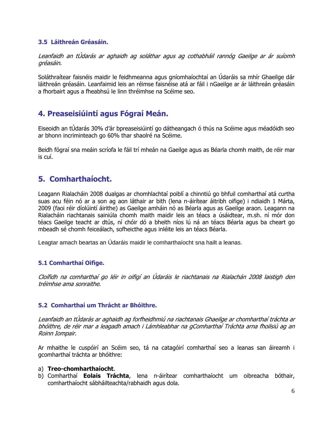#### **3.5 Láithreán Gréasáin.**

Leanfaidh an tÚdarás ar aghaidh ag soláthar agus ag cothabháil rannóg Gaeilge ar ár suíomh gréasáin.

Soláthraítear faisnéis maidir le feidhmeanna agus gníomhaíochtaí an Údaráis sa mhír Ghaeilge dár láithreán gréasáin. Leanfaimid leis an réimse faisnéise atá ar fáil i nGaeilge ar ár láithreán gréasáin a fhorbairt agus a fheabhsú le linn thréimhse na Scéime seo.

# **4. Preaseisiúintí agus Fógraí Meán.**

Eiseoidh an tÚdarás 30% d'ár bpreaseisiúintí go dátheangach ó thús na Scéime agus méadóidh seo ar bhonn incriminteach go 60% thar shaolré na Scéime.

Beidh fógraí sna meáin scríofa le fáil trí mheán na Gaeilge agus as Béarla chomh maith, de réir mar is cuí.

## **5. Comharthaíocht.**

Leagann Rialacháin 2008 dualgas ar chomhlachtaí poiblí a chinntiú go bhfuil comharthaí atá curtha suas acu féin nó ar a son ag aon láthair ar bith (lena n-áirítear áitribh oifige) i ndiaidh 1 Márta, 2009 (faoi réir díolúintí áirithe) as Gaeilge amháin nó as Béarla agus as Gaeilge araon. Leagann na Rialacháin riachtanais sainiúla chomh maith maidir leis an téacs a úsáidtear, m.sh. ní mór don téacs Gaeilge teacht ar dtús, ní chóir dó a bheith níos lú ná an téacs Béarla agus ba cheart go mbeadh sé chomh feiceálach, sofheicthe agus inléite leis an téacs Béarla.

Leagtar amach beartas an Údaráis maidir le comharthaíocht sna hailt a leanas.

#### **5.1 Comharthaí Oifige.**

Cloífidh na comharthaí go léir in oifigí an Údaráis le riachtanais na Rialachán 2008 laistigh den tréimhse ama sonraithe.

#### **5.2 Comharthaí um Thrácht ar Bhóithre.**

Leanfaidh an tÚdarás ar aghaidh ag forfheidhmiú na riachtanais Ghaeilge ar chomharthaí tráchta ar bhóithre, de réir mar a leagadh amach i Lámhleabhar na gComharthaí Tráchta arna fhoilsiú ag an Roinn Iompair.

Ar mhaithe le cuspóirí an Scéim seo, tá na catagóirí comharthaí seo a leanas san áireamh i gcomharthaí tráchta ar bhóithre:

#### a) **Treo-chomharthaíocht**.

b) Comharthaí **Eolais Tráchta**, lena n-áirítear comharthaíocht um oibreacha bóthair, comharthaíocht sábháilteachta/rabhaidh agus dola.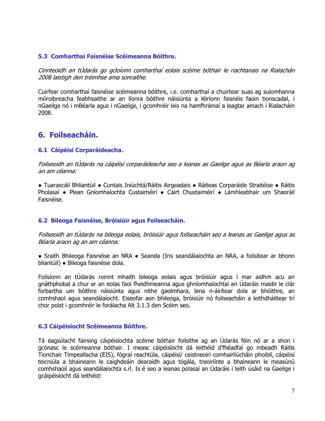#### **5.3 Comharthaí Faisnéise Scéimeanna Bóithre.**

Cinnteoidh an tÚdarás go gcloíonn comharthaí eolais scéime bóthair le riachtanais na Rialachán 2008 laistigh den tréimhse ama sonraithe.

Cuirfear comharthaí faisnéise scéimeanna bóithre, i.e. comharthaí a chuirtear suas ag suíomhanna móroibreacha feabhsaithe ar an líonra bóithre náisiúnta a léiríonn faisnéis faoin tionscadal, i nGaeilge nó i mBéarla agus i nGaeilge, i gcomhréir leis na hamfhrámaí a leagtar amach i Rialacháin 2008.

### **6. Foilseacháin.**

#### **6.1 Cáipéisí Corparáideacha.**

Foilseoidh an tÚdarás na cáipéisí corparáideacha seo a leanas as Gaeilge agus as Béarla araon ag an am céanna:

● Tuarascáil Bhliantúil ● Cuntais Iniúchtá/Ráitis Airgeadais ● Ráiteas Corparáide Straitéise ● Ráitis Pholasaí ● Plean Gníomhaíochta Custaiméirí ● Cairt Chustaiméirí ● Lámhleabhair um Shaoráil Faisnéise.

#### **6.2 Bileoga Faisnéise, Bróisiúir agus Foilseacháin.**

Foilseoidh an tÚdarás na bileoga eolais, bróisiúir agus foilseacháin seo a leanas as Gaeilge agus as Béarla araon ag an am céanna:

● Sraith Bhileoga Faisnéise an NRA • Seanda (Iris seandálaíochta an NRA, a foilsítear ar bhonn bliantúil) ● Bileoga faisnéise dola.

Foilsíonn an tÚdarás roinnt mhaith bileoga eolais agus bróisiúir agus í mar aidhm acu an gnáthphobal a chur ar an eolas faoi fheidhmeanna agus ghníomhaíochtaí an Údaráis maidir le clár forbartha um bóithre náisiúnta agus nithe gaolmhara, lena n-áirítear dola ar bhóithre, an comhshaol agus seandálaíocht. Eiseofar aon bhileoga, bróisiúir nó foilseacháin a leithdháiltear trí chor poist i gcomhréir le forálacha Alt 3.1.3 den Scéim seo.

#### **6.3 Cáipéisíocht Scéimeanna Bóithre.**

Tá éagsúlacht fairsing cáipéisíochta scéime bóthair foilsithe ag an Údarás féin nó ar a shon i gcónasc le scéimeanna bóthair. I measc cáipéisíocht dá leithéid d'fhéadfaí go mbeadh Ráitis Tionchair Timpeallacha (EIS), fógraí reachtúla, cáipéisí/ ceistneoirí comhairliúcháin phoiblí, cáipéisí teicniúla a bhaineann le caighdeáin dearaidh agus tógála, treoirlínte a bhaineann le measúnú comhshaoil agus seandálaíochta s.rl. Is é seo a leanas polasaí an Údaráis i leith úsáid na Gaeilge i gcáipéisíocht dá leithéid: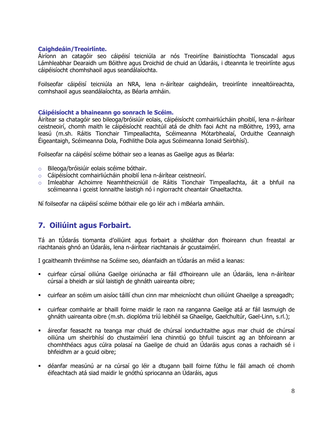#### **Caighdeáin/Treoirlínte.**

Áiríonn an catagóir seo cáipéisí teicniúla ar nós Treoirlíne Bainistíochta Tionscadal agus Lámhleabhar Dearaidh um Bóithre agus Droichid de chuid an Údaráis, i dteannta le treoirlínte agus cáipéisíocht chomhshaoil agus seandálaíochta.

Foilseofar cáipéisí teicniúla an NRA, lena n-áirítear caighdeáin, treoirlínte innealtóireachta, comhshaoil agus seandálaíochta, as Béarla amháin.

#### **Cáipéisíocht a bhaineann go sonrach le Scéim.**

Áirítear sa chatagóir seo bileoga/bróisiúir eolais, cáipéisíocht comhairliúcháin phoiblí, lena n-áirítear ceistneoirí, chomh maith le cáipéisíocht reachtúil atá de dhíth faoi Acht na mBóithre, 1993, arna leasú (m.sh. Ráitis Tionchair Timpeallachta, Scéimeanna Mótarbhealaí, Orduithe Ceannaigh Éigeantaigh, Scéimeanna Dola, Fodhlithe Dola agus Scéimeanna Ionaid Seirbhísí).

Foilseofar na cáipéisí scéime bóthair seo a leanas as Gaeilge agus as Béarla:

- o Bileoga/bróisiúir eolais scéime bóthair.
- o Cáipéisíocht comhairliúcháin phoiblí lena n-áirítear ceistneoirí.
- o Imleabhar Achoimre Neamhtheicniúil de Ráitis Tionchair Timpeallachta, áit a bhfuil na scéimeanna i gceist lonnaithe laistigh nó i ngiorracht cheantair Ghaeltachta.

Ní foilseofar na cáipéisí scéime bóthair eile go léir ach i mBéarla amháin.

## **7. Oiliúint agus Forbairt.**

Tá an tÚdarás tiomanta d'oiliúint agus forbairt a sholáthar don fhoireann chun freastal ar riachtanais ghnó an Údaráis, lena n-áirítear riachtanais ár gcustaiméirí.

I gcaitheamh thréimhse na Scéime seo, déanfaidh an tÚdarás an méid a leanas:

- cuirfear cúrsaí oiliúna Gaeilge oiriúnacha ar fáil d'fhoireann uile an Údaráis, lena n-áirítear cúrsaí a bheidh ar siúl laistigh de ghnáth uaireanta oibre;
- cuirfear an scéim um aisíoc táillí chun cinn mar mheicníocht chun oiliúint Ghaeilge a spreagadh;
- cuirfear comhairle ar bhaill foirne maidir le raon na ranganna Gaeilge atá ar fáil lasmuigh de ghnáth uaireanta oibre (m.sh. dioplóma tríú leibhéil sa Ghaeilge, Gaelchultúr, Gael-Linn, s.rl.);
- áireofar feasacht na teanga mar chuid de chúrsaí ionduchtaithe agus mar chuid de chúrsaí oiliúna um sheirbhísí do chustaiméirí lena chinntiú go bhfuil tuiscint ag an bhfoireann ar chomhthéacs agus cúlra polasaí na Gaeilge de chuid an Údaráis agus conas a rachaidh sé i bhfeidhm ar a gcuid oibre;
- déanfar measúnú ar na cúrsaí go léir a dtugann baill foirne fúthu le fáil amach cé chomh éifeachtach atá siad maidir le gnóthú spriocanna an Údaráis, agus